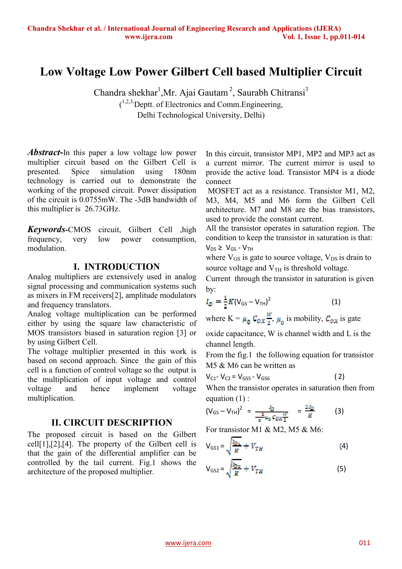# **Low Voltage Low Power Gilbert Cell based Multiplier Circuit**

Chandra shekhar<sup>1</sup>, Mr. Ajai Gautam<sup>2</sup>, Saurabh Chitransi<sup>3</sup>  $(1,2,3)$ Deptt. of Electronics and Comm. Engineering, Delhi Technological University, Delhi)

*Abstract***-**In this paper a low voltage low power multiplier circuit based on the Gilbert Cell is presented. Spice simulation using 180nm technology is carried out to demonstrate the working of the proposed circuit. Power dissipation of the circuit is 0.0755mW. The -3dB bandwidth of this multiplier is 26.73GHz.

*Keywords-*CMOS circuit, Gilbert Cell ,high frequency, very low power consumption, modulation.

#### **I. INTRODUCTION**

Analog multipliers are extensively used in analog signal processing and communication systems such as mixers in FM receivers[2], amplitude modulators and frequency translators.

Analog voltage multiplication can be performed either by using the square law characteristic of MOS transistors biased in saturation region [3] or by using Gilbert Cell.

The voltage multiplier presented in this work is based on second approach. Since the gain of this cell is a function of control voltage so the output is the multiplication of input voltage and control voltage and hence implement voltage multiplication.

### **II. CIRCUIT DESCRIPTION**

The proposed circuit is based on the Gilbert cell[1],[2],[4]. The property of the Gilbert cell is that the gain of the differential amplifier can be controlled by the tail current. Fig.1 shows the architecture of the proposed multiplier.

In this circuit, transistor MP1, MP2 and MP3 act as a current mirror. The current mirror is used to provide the active load. Transistor MP4 is a diode connect

 MOSFET act as a resistance. Transistor M1, M2, M3, M4, M5 and M6 form the Gilbert Cell architecture. M7 and M8 are the bias transistors, used to provide the constant current.

All the transistor operates in saturation region. The condition to keep the transistor in saturation is that:  $V_{DS} \geq V_{GS} - V_{TH}$ 

where  $V_{GS}$  is gate to source voltage,  $V_{DS}$  is drain to source voltage and  $V<sub>TH</sub>$  is threshold voltage.

Current through the transistor in saturation is given by:

$$
I_D = \frac{1}{2}K(V_{GS} - V_{TH})^2
$$
 (1)

where  $K = \mu_0$   $C_{OX} \frac{W}{l}$ ,  $\mu_0$  is mobility,  $C_{OX}$  is gate

oxide capacitance, W is channel width and L is the channel length.

From the fig.1 the following equation for transistor M5 & M6 can be written as

$$
V_{C1} - V_{C2} = V_{GSS} - V_{GSS}
$$
 (2)

When the transistor operates in saturation then from equation (1) :

$$
(\mathsf{V}_{\mathsf{GS}} - \mathsf{V}_{\mathsf{TH}})^2 = \frac{I_D}{\frac{4}{n}\mu_0\,C_{OX}\frac{W}{L}} = \frac{2I_D}{K} \tag{3}
$$

For transistor M1 & M2, M5 & M6:

$$
V_{GS1} = \sqrt{\frac{I_{B\,2}}{K} + V_{TH}}
$$
 (4)

$$
V_{GS2} = \sqrt{\frac{l_{Dz}}{K}} + V_{TH}
$$
 (5)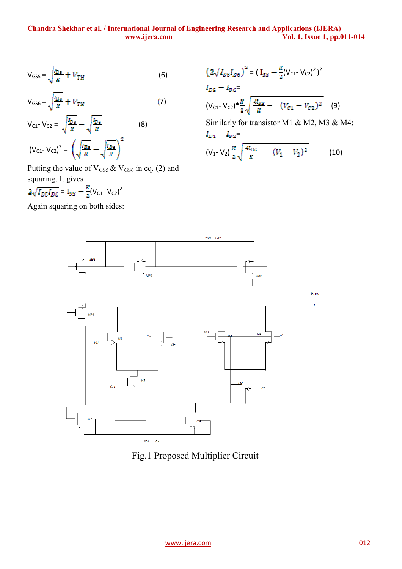#### **Chandra Shekhar et al. / International Journal of Engineering Research and Applications (IJERA) www.ijera.com Vol. 1, Issue 1, pp.011-014**

$$
V_{GSS} = \sqrt{\frac{I_{D\,s}}{R}} + V_{TH} \tag{6}
$$

$$
V_{GSG} = \sqrt{\frac{I_{D6}}{K}} + V_{TH} \tag{7}
$$

$$
V_{C1} - V_{C2} = \sqrt{\frac{I_{D\,\text{s}}}{K}} - \sqrt{\frac{I_{D\,\text{s}}}{K}} \tag{8}
$$
\n
$$
(V_{C1} - V_{C2})^2 = \left(\sqrt{\frac{I_{D\,\text{s}}}{K}} - \sqrt{\frac{I_{D\,\text{s}}}{K}}\right)^2
$$

Putting the value of  $V_{GS5}$  &  $V_{GS6}$  in eq. (2) and squaring. It gives

$$
2\sqrt{I_{DS}I_{DS}} = I_{SS} - \frac{R}{2}(V_{C1} - V_{C2})^2
$$

Again squaring on both sides:

$$
\left(2\sqrt{I_{DS}I_{DS}}\right)^2 = \left(I_{SS} - \frac{K}{2}(V_{C1} - V_{C2})^2\right)^2
$$
  
\n
$$
I_{DS} - I_{DS} =
$$
  
\n
$$
(V_{C1} - V_{C2}) * \frac{K}{2} \sqrt{\frac{4I_{SS}}{K} - (V_{C1} - V_{C2})^2}
$$
 (9)

Similarly for transistor M1 & M2, M3 & M4:  $I_{D1}-I_{D2}=$ 

$$
(V_1 - V_2) \frac{K}{2} \sqrt{\frac{4I_{DS}}{K}} - (V_1 - V_2)^2
$$
 (10)



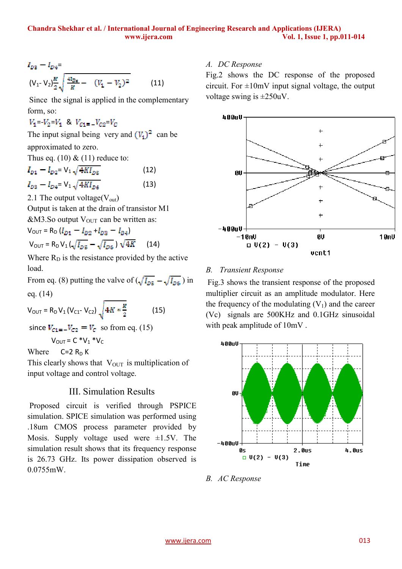$$
I_{D3} - I_{D4} =
$$
  
\n
$$
(V_1 - V_2) \frac{K}{2} \sqrt{\frac{4I_{D4}}{K} - (V_1 - V_2)^2}
$$
 (11)

Since the signal is applied in the complementary form, so:

 $V_1 = -V_2 = V_1$  &  $V_{01} = -V_{02} = V_0$ 

The input signal being very and  $(V_1)^2$  can be

approximated to zero.

Thus eq.  $(10) \& (11)$  reduce to:

$$
I_{D1} - I_{D2} = V_1 \sqrt{4K I_{D5}}
$$
(12)  

$$
I_{D3} - I_{D4} = V_1 \sqrt{4K I_{D6}}
$$
(13)

2.1 The output voltage( $V_{\text{out}}$ )

Output is taken at the drain of transistor M1  $&M3.$ So output  $V_{\text{OUT}}$  can be written as:

 $V_{\text{OUT}} = R_{\text{D}} (I_{D1} - I_{D2} + I_{D3} - I_{D4})$  $V_{\text{OUT}} = R_{\text{D}} V_1 \left( \sqrt{I_{\text{DE}}} - \sqrt{I_{\text{DE}}} \right) \sqrt{4K}$  (14)

Where  $R_D$  is the resistance provided by the active load.

From eq. (8) putting the valve of  $(\sqrt{I_{DS}} - \sqrt{I_{DS}})$  in eq. (14)

$$
V_{\text{OUT}} = R_{\text{D}} V_1 (V_{\text{C1}} - V_{\text{C2}}) \sqrt{4K * \frac{k}{2}}
$$
 (15)

since  $V_{c1} = -V_{c2} = V_c$  so from eq. (15)

 $V_{OUT} = C * V_1 * V_C$ 

Where  $C=2 R_D K$ 

This clearly shows that  $V_{\text{OUT}}$  is multiplication of input voltage and control voltage.

# III. Simulation Results

 Proposed circuit is verified through PSPICE simulation. SPICE simulation was performed using .18um CMOS process parameter provided by Mosis. Supply voltage used were  $\pm 1.5V$ . The simulation result shows that its frequency response is 26.73 GHz. Its power dissipation observed is 0.0755mW.

### *A. DC Response*

Fig.2 shows the DC response of the proposed circuit. For  $\pm 10$ mV input signal voltage, the output voltage swing is  $\pm 250$ uV.



### *B. Transient Response*

Fig.3 shows the transient response of the proposed multiplier circuit as an amplitude modulator. Here the frequency of the modulating  $(V_1)$  and the career (Vc) signals are 500KHz and 0.1GHz sinusoidal with peak amplitude of 10mV .



*B. AC Response*